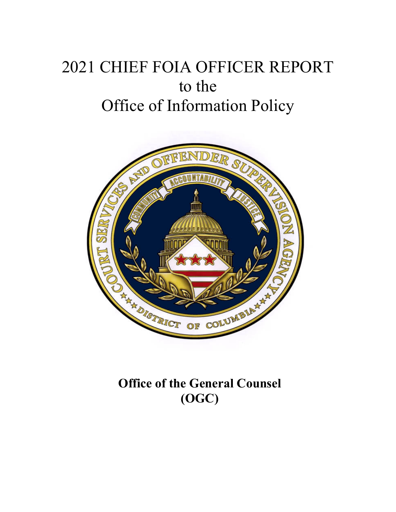# 2021 CHIEF FOIA OFFICER REPORT to the Office of Information Policy



**Office of the General Counsel (OGC)**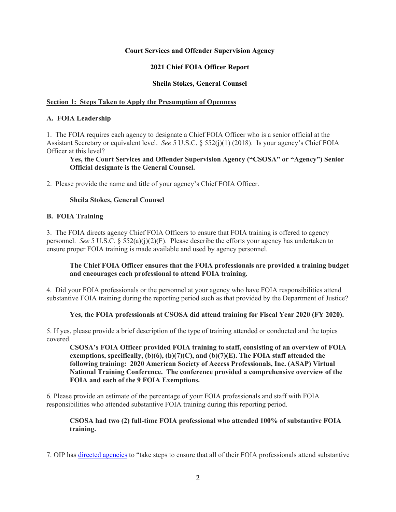## **Court Services and Offender Supervision Agency**

# **2021 Chief FOIA Officer Report**

## **Sheila Stokes, General Counsel**

#### **Section 1: Steps Taken to Apply the Presumption of Openness**

#### **A. FOIA Leadership**

1. The FOIA requires each agency to designate a Chief FOIA Officer who is a senior official at the Assistant Secretary or equivalent level. *See* 5 U.S.C. § 552(j)(1) (2018). Is your agency's Chief FOIA Officer at this level?

**Yes, the Court Services and Offender Supervision Agency ("CSOSA" or "Agency") Senior Official designate is the General Counsel.** 

2. Please provide the name and title of your agency's Chief FOIA Officer.

#### **Sheila Stokes, General Counsel**

## **B. FOIA Training**

3. The FOIA directs agency Chief FOIA Officers to ensure that FOIA training is offered to agency personnel. *See* 5 U.S.C. § 552(a)(j)(2)(F). Please describe the efforts your agency has undertaken to ensure proper FOIA training is made available and used by agency personnel.

## **The Chief FOIA Officer ensures that the FOIA professionals are provided a training budget and encourages each professional to attend FOIA training.**

4. Did your FOIA professionals or the personnel at your agency who have FOIA responsibilities attend substantive FOIA training during the reporting period such as that provided by the Department of Justice?

#### **Yes, the FOIA professionals at CSOSA did attend training for Fiscal Year 2020 (FY 2020).**

5. If yes, please provide a brief description of the type of training attended or conducted and the topics covered.

**CSOSA's FOIA Officer provided FOIA training to staff, consisting of an overview of FOIA exemptions, specifically, (b)(6), (b)(7)(C), and (b)(7)(E). The FOIA staff attended the following training: 2020 American Society of Access Professionals, Inc. (ASAP) Virtual National Training Conference. The conference provided a comprehensive overview of the FOIA and each of the 9 FOIA Exemptions.** 

6. Please provide an estimate of the percentage of your FOIA professionals and staff with FOIA responsibilities who attended substantive FOIA training during this reporting period.

#### **CSOSA had two (2) full-time FOIA professional who attended 100% of substantive FOIA training.**

7. OIP has directed agencies to "take steps to ensure that all of their FOIA professionals attend substantive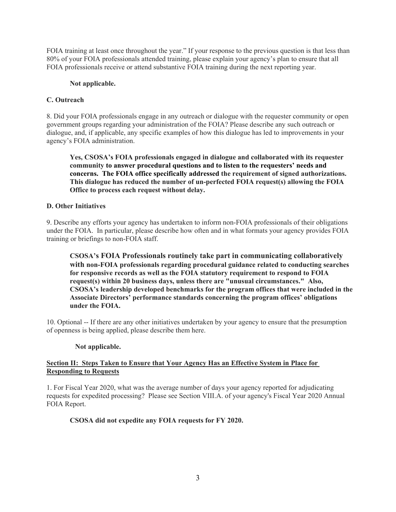FOIA training at least once throughout the year." If your response to the previous question is that less than 80% of your FOIA professionals attended training, please explain your agency's plan to ensure that all FOIA professionals receive or attend substantive FOIA training during the next reporting year.

# **Not applicable.**

# **C. Outreach**

8. Did your FOIA professionals engage in any outreach or dialogue with the requester community or open government groups regarding your administration of the FOIA? Please describe any such outreach or dialogue, and, if applicable, any specific examples of how this dialogue has led to improvements in your agency's FOIA administration.

**Yes, CSOSA's FOIA professionals engaged in dialogue and collaborated with its requester community to answer procedural questions and to listen to the requesters' needs and concerns. The FOIA office specifically addressed the requirement of signed authorizations. This dialogue has reduced the number of un-perfected FOIA request(s) allowing the FOIA Office to process each request without delay.** 

## **D. Other Initiatives**

9. Describe any efforts your agency has undertaken to inform non-FOIA professionals of their obligations under the FOIA. In particular, please describe how often and in what formats your agency provides FOIA training or briefings to non-FOIA staff.

**CSOSA's FOIA Professionals routinely take part in communicating collaboratively with non-FOIA professionals regarding procedural guidance related to conducting searches for responsive records as well as the FOIA statutory requirement to respond to FOIA request(s) within 20 business days, unless there are "unusual circumstances." Also, CSOSA's leadership developed benchmarks for the program offices that were included in the Associate Directors' performance standards concerning the program offices' obligations under the FOIA.** 

10. Optional -- If there are any other initiatives undertaken by your agency to ensure that the presumption of openness is being applied, please describe them here.

#### **Not applicable.**

#### **Section II: Steps Taken to Ensure that Your Agency Has an Effective System in Place for Responding to Requests**

1. For Fiscal Year 2020, what was the average number of days your agency reported for adjudicating requests for expedited processing? Please see Section VIII.A. of your agency's Fiscal Year 2020 Annual FOIA Report.

**CSOSA did not expedite any FOIA requests for FY 2020.**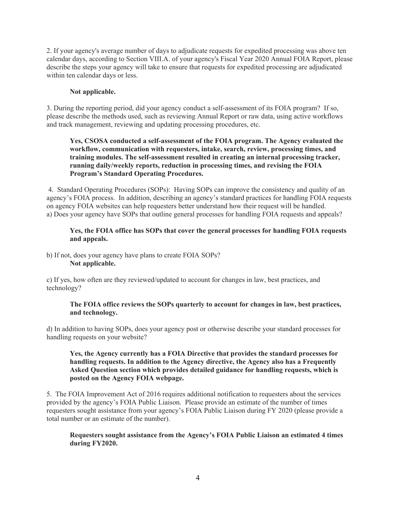2. If your agency's average number of days to adjudicate requests for expedited processing was above ten calendar days, according to Section VIII.A. of your agency's Fiscal Year 2020 Annual FOIA Report, please describe the steps your agency will take to ensure that requests for expedited processing are adjudicated within ten calendar days or less.

#### **Not applicable.**

3. During the reporting period, did your agency conduct a self-assessment of its FOIA program? If so, please describe the methods used, such as reviewing Annual Report or raw data, using active workflows and track management, reviewing and updating processing procedures, etc.

## **Yes, CSOSA conducted a self-assessment of the FOIA program. The Agency evaluated the workflow, communication with requesters, intake, search, review, processing times, and training modules. The self-assessment resulted in creating an internal processing tracker, running daily/weekly reports, reduction in processing times, and revising the FOIA Program's Standard Operating Procedures.**

 a) Does your agency have SOPs that outline general processes for handling FOIA requests and appeals? 4. Standard Operating Procedures (SOPs): Having SOPs can improve the consistency and quality of an agency's FOIA process. In addition, describing an agency's standard practices for handling FOIA requests on agency FOIA websites can help requesters better understand how their request will be handled.

#### **and appeals. Yes, the FOIA office has SOPs that cover the general processes for handling FOIA requests**

b) If not, does your agency have plans to create FOIA SOPs? **Not applicable.** 

c) If yes, how often are they reviewed/updated to account for changes in law, best practices, and technology?

#### **The FOIA office reviews the SOPs quarterly to account for changes in law, best practices, and technology.**

d) In addition to having SOPs, does your agency post or otherwise describe your standard processes for handling requests on your website?

#### **Yes, the Agency currently has a FOIA Directive that provides the standard processes for handling requests. In addition to the Agency directive, the Agency also has a Frequently Asked Question section which provides detailed guidance for handling requests, which is posted on the Agency FOIA webpage.**

5. The FOIA Improvement Act of 2016 requires additional notification to requesters about the services provided by the agency's FOIA Public Liaison. Please provide an estimate of the number of times requesters sought assistance from your agency's FOIA Public Liaison during FY 2020 (please provide a total number or an estimate of the number).

#### **Requesters sought assistance from the Agency's FOIA Public Liaison an estimated 4 times during FY2020.**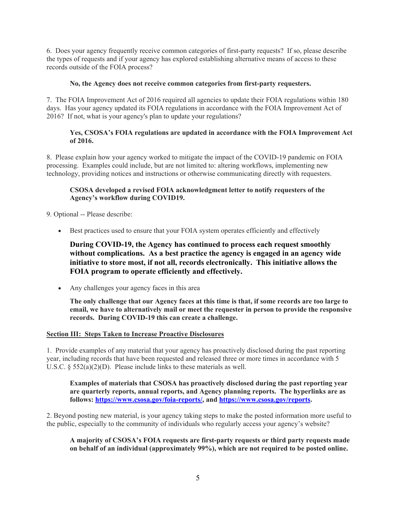6. Does your agency frequently receive common categories of first-party requests? If so, please describe the types of requests and if your agency has explored establishing alternative means of access to these records outside of the FOIA process?

## **No, the Agency does not receive common categories from first-party requesters.**

7. The FOIA Improvement Act of 2016 required all agencies to update their FOIA regulations within 180 days. Has your agency updated its FOIA regulations in accordance with the FOIA Improvement Act of 2016? If not, what is your agency's plan to update your regulations?

## **Yes, CSOSA's FOIA regulations are updated in accordance with the FOIA Improvement Act of 2016.**

8. Please explain how your agency worked to mitigate the impact of the COVID-19 pandemic on FOIA processing. Examples could include, but are not limited to: altering workflows, implementing new technology, providing notices and instructions or otherwise communicating directly with requesters.

## **CSOSA developed a revised FOIA acknowledgment letter to notify requesters of the Agency's workflow during COVID19.**

9. Optional -- Please describe:

Best practices used to ensure that your FOIA system operates efficiently and effectively

**During COVID-19, the Agency has continued to process each request smoothly without complications. As a best practice the agency is engaged in an agency wide initiative to store most, if not all, records electronically. This initiative allows the FOIA program to operate efficiently and effectively.** 

Any challenges your agency faces in this area

**The only challenge that our Agency faces at this time is that, if some records are too large to email, we have to alternatively mail or meet the requester in person to provide the responsive records. During COVID-19 this can create a challenge.** 

#### **Section III: Steps Taken to Increase Proactive Disclosures**

1. Provide examples of any material that your agency has proactively disclosed during the past reporting year, including records that have been requested and released three or more times in accordance with 5 U.S.C. § 552(a)(2)(D). Please include links to these materials as well.

**Examples of materials that CSOSA has proactively disclosed during the past reporting year are quarterly reports, annual reports, and Agency planning reports. The hyperlinks are as follows: [https://www.csosa.gov/foia-reports/](https://www.csosa.gov/foia-reports), and<https://www.csosa.gov/reports>.** 

2. Beyond posting new material, is your agency taking steps to make the posted information more useful to the public, especially to the community of individuals who regularly access your agency's website?

**A majority of CSOSA's FOIA requests are first-party requests or third party requests made on behalf of an individual (approximately 99%), which are not required to be posted online.**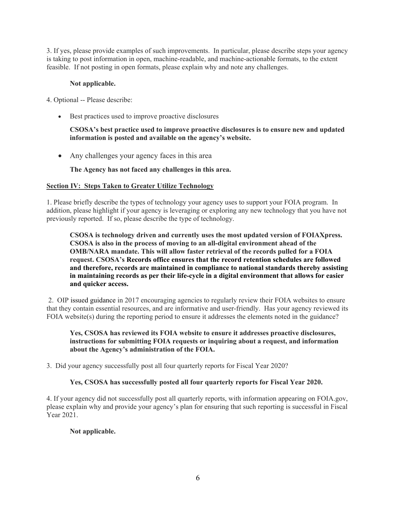3. If yes, please provide examples of such improvements. In particular, please describe steps your agency is taking to post information in open, machine-readable, and machine-actionable formats, to the extent feasible. If not posting in open formats, please explain why and note any challenges.

## **Not applicable.**

4. Optional -- Please describe:

Best practices used to improve proactive disclosures

# **CSOSA's best practice used to improve proactive disclosures is to ensure new and updated information is posted and available on the agency's website.**

Any challenges your agency faces in this area

**The Agency has not faced any challenges in this area.** 

## **Section IV: Steps Taken to Greater Utilize Technology**

 addition, please highlight if your agency is leveraging or exploring any new technology that you have not 1. Please briefly describe the types of technology your agency uses to support your FOIA program. In previously reported. If so, please describe the type of technology.

**CSOSA is technology driven and currently uses the most updated version of FOIAXpress. CSOSA is also in the process of moving to an all-digital environment ahead of the OMB/NARA mandate. This will allow faster retrieval of the records pulled for a FOIA request. CSOSA's Records office ensures that the record retention schedules are followed and therefore, records are maintained in compliance to national standards thereby assisting in maintaining records as per their life-cycle in a digital environment that allows for easier and quicker access.** 

2. OIP issued guidance in 2017 encouraging agencies to regularly review their FOIA websites to ensure that they contain essential resources, and are informative and user-friendly. Has your agency reviewed its FOIA website(s) during the reporting period to ensure it addresses the elements noted in the guidance?

# **Yes, CSOSA has reviewed its FOIA website to ensure it addresses proactive disclosures, instructions for submitting FOIA requests or inquiring about a request, and information about the Agency's administration of the FOIA.**

3. Did your agency successfully post all four quarterly reports for Fiscal Year 2020?

# **Yes, CSOSA has successfully posted all four quarterly reports for Fiscal Year 2020.**

4. If your agency did not successfully post all quarterly reports, with information appearing on [FOIA.gov](https://FOIA.gov), please explain why and provide your agency's plan for ensuring that such reporting is successful in Fiscal Year 2021.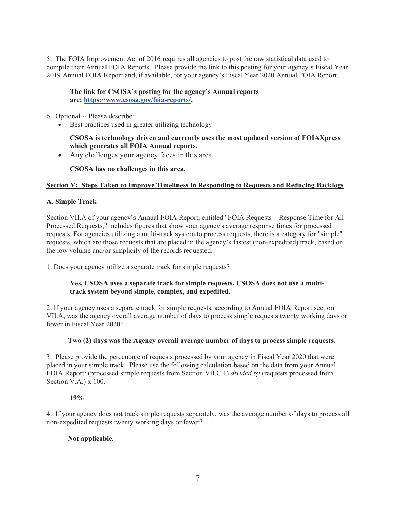5. The FOIA Improvement Act of 2016 requires all agencies to post the raw statistical data used to compile their Annual FOIA Reports. Please provide the link to this posting for your agency's Fiscal Year 2019 Annual FOIA Report and, if available, for your agency's Fiscal Year 2020 Annual FOIA Report.

# **The link for CSOSA's posting for the agency's Annual reports are: <https://www.csosa.gov/foia-reports>/.**

- 6. Optional -- Please describe:
	- $\bullet$  Best practices used in greater utilizing technology

# **CSOSA is technology driven and currently uses the most updated version of FOIAXpress which generates all FOIA Annual reports.**

Any challenges your agency faces in this area

## **CSOSA has no challenges in this area.**

## **Section V: Steps Taken to Improve Timeliness in Responding to Requests and Reducing Backlogs**

## **A. Simple Track**

Section VII.A of your agency's Annual FOIA Report, entitled "FOIA Requests – Response Time for All Processed Requests," includes figures that show your agency's average response times for processed requests. For agencies utilizing a multi-track system to process requests, there is a category for "simple" requests, which are those requests that are placed in the agency's fastest (non-expedited) track, based on the low volume and/or simplicity of the records requested.

1. Does your agency utilize a separate track for simple requests?

## **Yes, CSOSA uses a separate track for simple requests. CSOSA does not use a multitrack system beyond simple, complex, and expedited.**

2. If your agency uses a separate track for simple requests, according to Annual FOIA Report section VII.A, was the agency overall average number of days to process simple requests twenty working days or fewer in Fiscal Year 2020?

#### **Two (2) days was the Agency overall average number of days to process simple requests.**

3. Please provide the percentage of requests processed by your agency in Fiscal Year 2020 that were placed in your simple track. Please use the following calculation based on the data from your Annual FOIA Report: (processed simple requests from Section VII.C.1) *divided by* (requests processed from Section V.A.) x 100.

#### **19%**

4. If your agency does not track simple requests separately, was the average number of days to process all non-expedited requests twenty working days or fewer?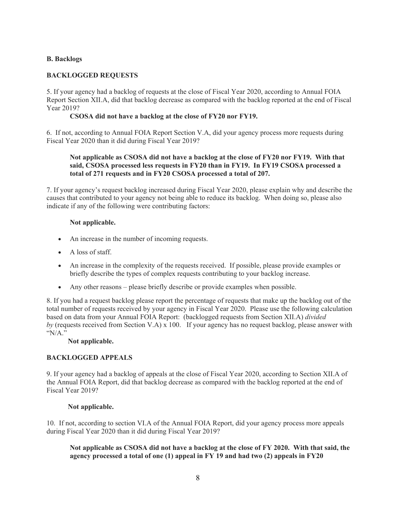## **B. Backlogs**

## **BACKLOGGED REQUESTS**

5. If your agency had a backlog of requests at the close of Fiscal Year 2020, according to Annual FOIA Report Section XII.A, did that backlog decrease as compared with the backlog reported at the end of Fiscal Year 2019?

#### **CSOSA did not have a backlog at the close of FY20 nor FY19.**

6. If not, according to Annual FOIA Report Section V.A, did your agency process more requests during Fiscal Year 2020 than it did during Fiscal Year 2019?

## **Not applicable as CSOSA did not have a backlog at the close of FY20 nor FY19. With that said, CSOSA processed less requests in FY20 than in FY19. In FY19 CSOSA processed a total of 271 requests and in FY20 CSOSA processed a total of 207.**

7. If your agency's request backlog increased during Fiscal Year 2020, please explain why and describe the causes that contributed to your agency not being able to reduce its backlog. When doing so, please also indicate if any of the following were contributing factors:

## **Not applicable.**

- An increase in the number of incoming requests.
- A loss of staff.
- An increase in the complexity of the requests received. If possible, please provide examples or briefly describe the types of complex requests contributing to your backlog increase.
- Any other reasons please briefly describe or provide examples when possible.

8. If you had a request backlog please report the percentage of requests that make up the backlog out of the total number of requests received by your agency in Fiscal Year 2020. Please use the following calculation based on data from your Annual FOIA Report: (backlogged requests from Section XII.A) *divided by* (requests received from Section V.A) x 100. If your agency has no request backlog, please answer with "N/A."

#### **Not applicable.**

#### **BACKLOGGED APPEALS**

9. If your agency had a backlog of appeals at the close of Fiscal Year 2020, according to Section XII.A of the Annual FOIA Report, did that backlog decrease as compared with the backlog reported at the end of Fiscal Year 2019?

#### **Not applicable.**

10. If not, according to section VI.A of the Annual FOIA Report, did your agency process more appeals during Fiscal Year 2020 than it did during Fiscal Year 2019?

## **Not applicable as CSOSA did not have a backlog at the close of FY 2020. With that said, the agency processed a total of one (1) appeal in FY 19 and had two (2) appeals in FY20**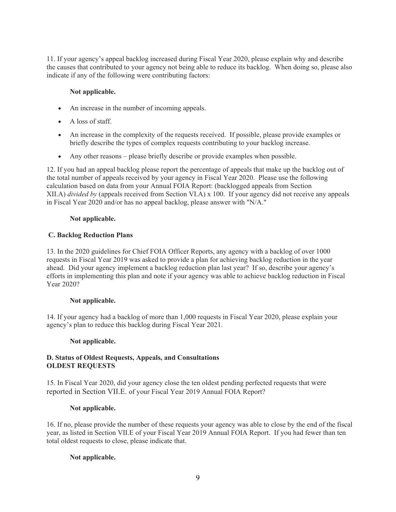11. If your agency's appeal backlog increased during Fiscal Year 2020, please explain why and describe the causes that contributed to your agency not being able to reduce its backlog. When doing so, please also indicate if any of the following were contributing factors:

## **Not applicable.**

- An increase in the number of incoming appeals.
- A loss of staff.
- An increase in the complexity of the requests received. If possible, please provide examples or briefly describe the types of complex requests contributing to your backlog increase.
- Any other reasons please briefly describe or provide examples when possible.

12. If you had an appeal backlog please report the percentage of appeals that make up the backlog out of the total number of appeals received by your agency in Fiscal Year 2020. Please use the following calculation based on data from your Annual FOIA Report: (backlogged appeals from Section XII.A) *divided by* (appeals received from Section VI.A) x 100. If your agency did not receive any appeals in Fiscal Year 2020 and/or has no appeal backlog, please answer with "N/A."

## **Not applicable.**

#### **C. Backlog Reduction Plans**

13. In the 2020 guidelines for Chief FOIA Officer Reports, any agency with a backlog of over 1000 requests in Fiscal Year 2019 was asked to provide a plan for achieving backlog reduction in the year ahead. Did your agency implement a backlog reduction plan last year? If so, describe your agency's efforts in implementing this plan and note if your agency was able to achieve backlog reduction in Fiscal Year 2020?

#### **Not applicable.**

14. If your agency had a backlog of more than 1,000 requests in Fiscal Year 2020, please explain your agency's plan to reduce this backlog during Fiscal Year 2021.

#### **Not applicable.**

#### **D. Status of Oldest Requests, Appeals, and Consultations OLDEST REQUESTS**

15. In Fiscal Year 2020, did your agency close the ten oldest pending perfected requests that were reported in Section VII.E. of your Fiscal Year 2019 Annual FOIA Report?

#### **Not applicable.**

16. If no, please provide the number of these requests your agency was able to close by the end of the fiscal year, as listed in Section VII.E of your Fiscal Year 2019 Annual FOIA Report. If you had fewer than ten total oldest requests to close, please indicate that.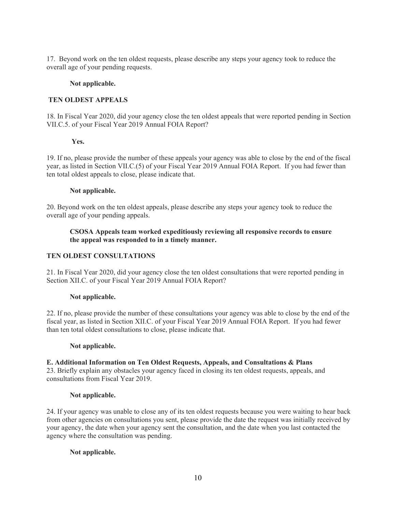17. Beyond work on the ten oldest requests, please describe any steps your agency took to reduce the overall age of your pending requests.

#### **Not applicable.**

#### **TEN OLDEST APPEALS**

18. In Fiscal Year 2020, did your agency close the ten oldest appeals that were reported pending in Section VII.C.5. of your Fiscal Year 2019 Annual FOIA Report?

#### **Yes.**

19. If no, please provide the number of these appeals your agency was able to close by the end of the fiscal year, as listed in Section VII.C.(5) of your Fiscal Year 2019 Annual FOIA Report. If you had fewer than ten total oldest appeals to close, please indicate that.

#### **Not applicable.**

20. Beyond work on the ten oldest appeals, please describe any steps your agency took to reduce the overall age of your pending appeals.

## **CSOSA Appeals team worked expeditiously reviewing all responsive records to ensure the appeal was responded to in a timely manner.**

## **TEN OLDEST CONSULTATIONS**

21. In Fiscal Year 2020, did your agency close the ten oldest consultations that were reported pending in Section XII.C. of your Fiscal Year 2019 Annual FOIA Report?

#### **Not applicable.**

22. If no, please provide the number of these consultations your agency was able to close by the end of the fiscal year, as listed in Section XII.C. of your Fiscal Year 2019 Annual FOIA Report. If you had fewer than ten total oldest consultations to close, please indicate that.

#### **Not applicable.**

#### **E. Additional Information on Ten Oldest Requests, Appeals, and Consultations & Plans**

23. Briefly explain any obstacles your agency faced in closing its ten oldest requests, appeals, and consultations from Fiscal Year 2019.

#### **Not applicable.**

24. If your agency was unable to close any of its ten oldest requests because you were waiting to hear back from other agencies on consultations you sent, please provide the date the request was initially received by your agency, the date when your agency sent the consultation, and the date when you last contacted the agency where the consultation was pending.